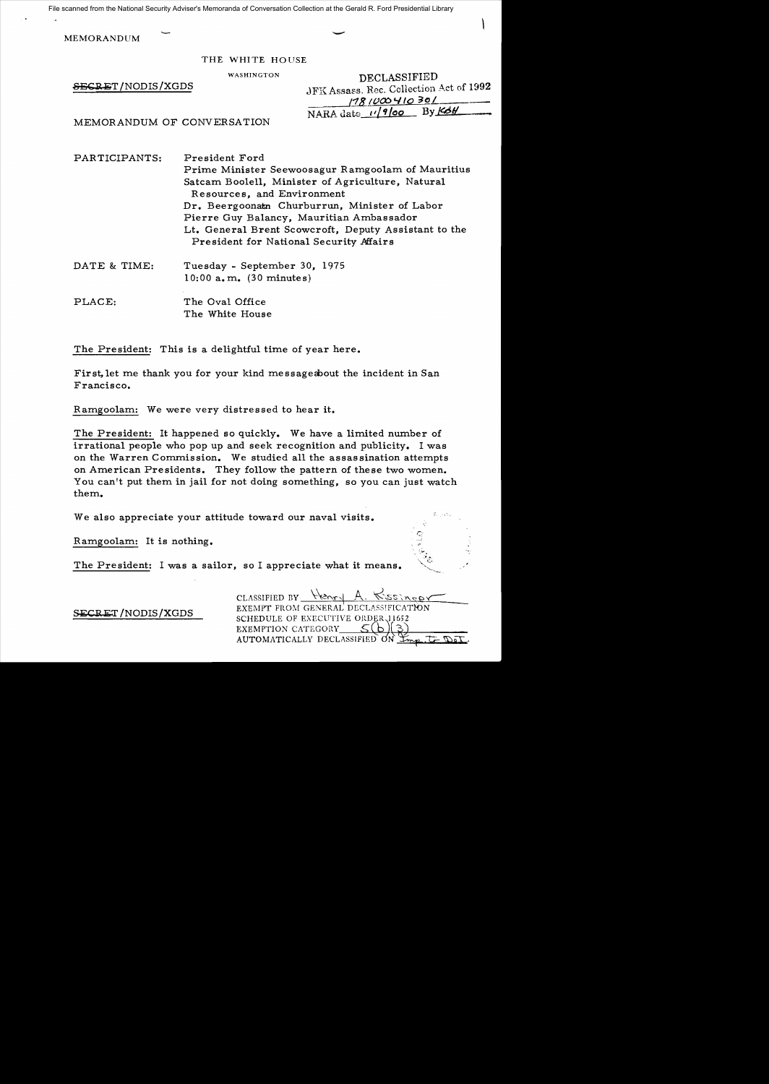File scanned from the National Security Adviser's Memoranda of Conversation Collection at the Gerald R. Ford Presidential Library

| <b>MEMORANDUM</b>                                           |                                                                                                                                                                                                                                                                                                                                                       |                                                                                                        |  |
|-------------------------------------------------------------|-------------------------------------------------------------------------------------------------------------------------------------------------------------------------------------------------------------------------------------------------------------------------------------------------------------------------------------------------------|--------------------------------------------------------------------------------------------------------|--|
| THE WHITE HOUSE                                             |                                                                                                                                                                                                                                                                                                                                                       |                                                                                                        |  |
| <del>SECRE</del> T/NODIS/XGDS<br>MEMORANDUM OF CONVERSATION | WASHINGTON                                                                                                                                                                                                                                                                                                                                            | DECLASSIFIED<br>JFK Assass. Rec. Collection Act of 1992<br>178 1000 410 301<br>NARA date 1/9/00 By Kot |  |
| PARTICIPANTS:                                               | President Ford<br>Prime Minister Seewoosagur Ramgoolam of Mauritius<br>Satcam Boolell, Minister of Agriculture, Natural<br>Resources, and Environment<br>Dr. Beergoonatn Churburrun, Minister of Labor<br>Pierre Guy Balancy, Mauritian Ambassador<br>Lt. General Brent Scowcroft, Deputy Assistant to the<br>President for National Security Affairs |                                                                                                        |  |

- DATE & TIME: Tuesday September 30, 1975  $10:00$  a.m.  $(30 \text{ minutes})$
- PLACE: The Oval Office The White House

The President: This is a delightful time of year here.

First, let me thank you for your kind messageabout the incident in San Francisco.

Ramgoolam: We were very distressed to hear it.

The President: It happened so quickly. We have a limited number of irrational people who pop up and seek recognition and publicity. I was on the Warren Commission. We studied all the assassination attempts on American Presidents. They follow the pattern of these two women. You can't put them in jail for not doing something, so you can just watch them.

We also appreciate your attitude toward our naval visits.

Ramgoolam: It is nothing.

The President: I was a sailor, so I appreciate what it means.

CLASSIFIED BY <del>Ann A. Ressinger</del> SECRET/NODIS/XGDS EXEMPT FROM GENERAL DECLASSIFICATION<br>SCHEDULE OF EXECUTIVE ORDER 11652 EXEMPTION CATEGORY <u>S(b)(3)</u><br>AUTOMATICALLY DECLASSIFIED ON *L*<sub>m</sub>

 $\mathbb{C}$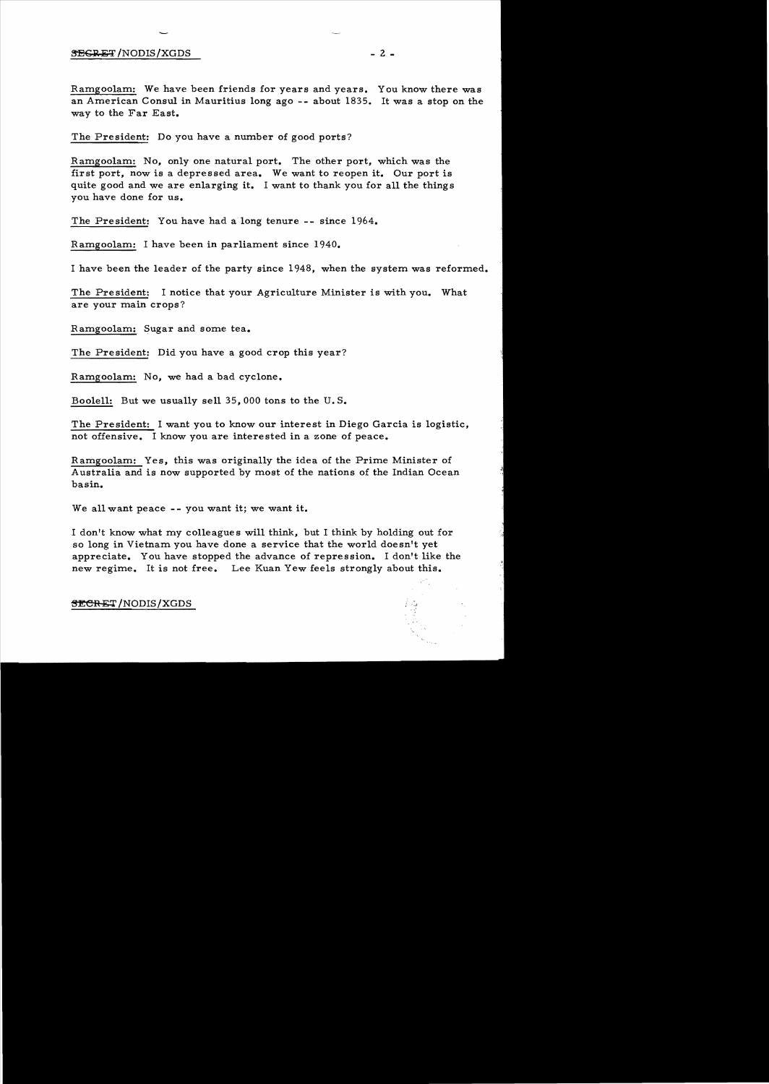## \*<del>BCRET</del> /NODIS/XGDS - 2 -

Ramgoolam: We have been friends for years and years. You know there was an American Consul in Mauritius long ago -- about 1835. It was a stop on the way to the Far East.

The President: Do you have a number of good ports?

Ramgoolam: No, only one natural port. The other port, which was the first port, now is a depressed area. We want to reopen it. Our port is quite good and we are enlarging it. I want to thank you for all the things you have done for us.

The President: You have had a long tenure  $-$  since 1964.

R amgoolam: I have been in parliament since 1940.

I have been the leader of the party since 1948, when the system was reformed.

The President: I notice that your Agriculture Minister is with you. What are your main crops?

Ramgoolam: Sugar and some tea.

The President: Did you have a good crop this year?

Ramgoolam: No, we had a bad cyclone.

Boolell: But we usually sell 35,000 tons to the U. S.

The President: I want you to know our interest in Diego Garcia is logistic. not offensive. I know you are interested in a zone of peace.

Ramgoolam: Yes, this was originally the idea of the Prime Minister of A ustralia and is now supported by most of the nations of the Indian Ocean basin.

We all want peace -- you want it; we want it.

I don't know what my colleagues will think, but I think by holding out for so long in Vietnam you have done a service that the world doesn't yet appreciate. You have stopped the advance of repression. I don't like the new regime. It is not free. Lee Kuan Yew feels strongly about this.

<del>SECRE</del>T/NODIS/XGDS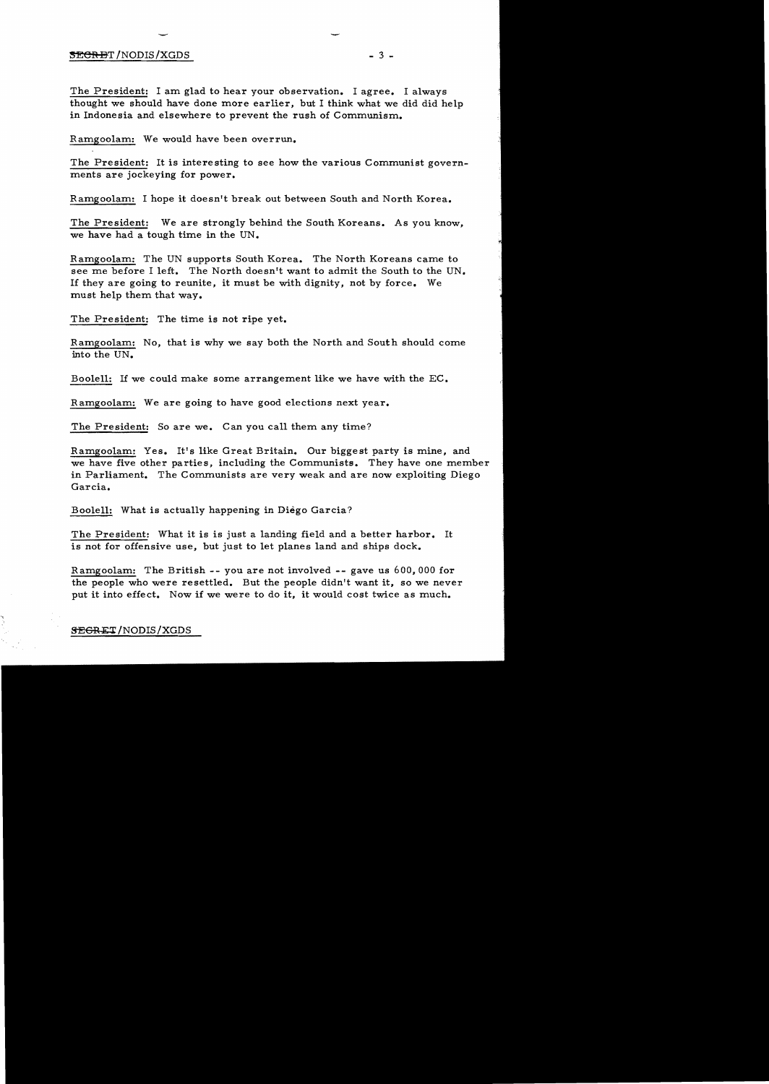## $\frac{\text{SEGRBT}}{\text{NODIS}}/\text{XGDS}$   $\qquad \qquad$  3 -

The President: I am glad to hear your observation. I agree. I always thought we should have done more earlier, but I think what we did did help in Indonesia and elsewhere to prevent the rush of Communism.

Ramgoolam: We would have been overrun.

The President: It is interesting to see how the various Communist governments are jockeying for power.

Ramgoolam: I hope it doesn't break out between South and North Korea.

The President: We are strongly behind the South Koreans. As you know, we have had a tough time in the UN.

R amgoolam: The UN supports South Korea. The North Koreans came to see me before I left. The North doesn't want to admit the South to the UN. If they are going to reunite, it must be with dignity, not by force. We must help them that way.

The President: The time is not ripe yet.

Ramgoolam: No, that is why we say both the North and South should come into the UN.

Boolell: If we could make some arrangement like we have with the  $EC$ .

Ramgoolam: We are going to have good elections next year.

The President: So are we. Can you call them any time?

Ramgoolam: Yes. It's like Great Britain. Our biggest party is mine, and we have five other parties, including the Communists. They have one member in Parliament. The Communists are very weak and are now exploiting Diego Garcia.

Boolell: What is actually happening in Diego Garcia?

The President: What it is is just a landing field and a better harbor. It is not for offensive use, but just to let planes land and ships dock.

Ramgoolam: The British -- you are not involved -- gave us 600, 000 for the people who were resettled. But the people didn't want it, so we never put it into effect. Now if we were to do it, it would cost twice as much.

SEGRET/NODIS/XGDS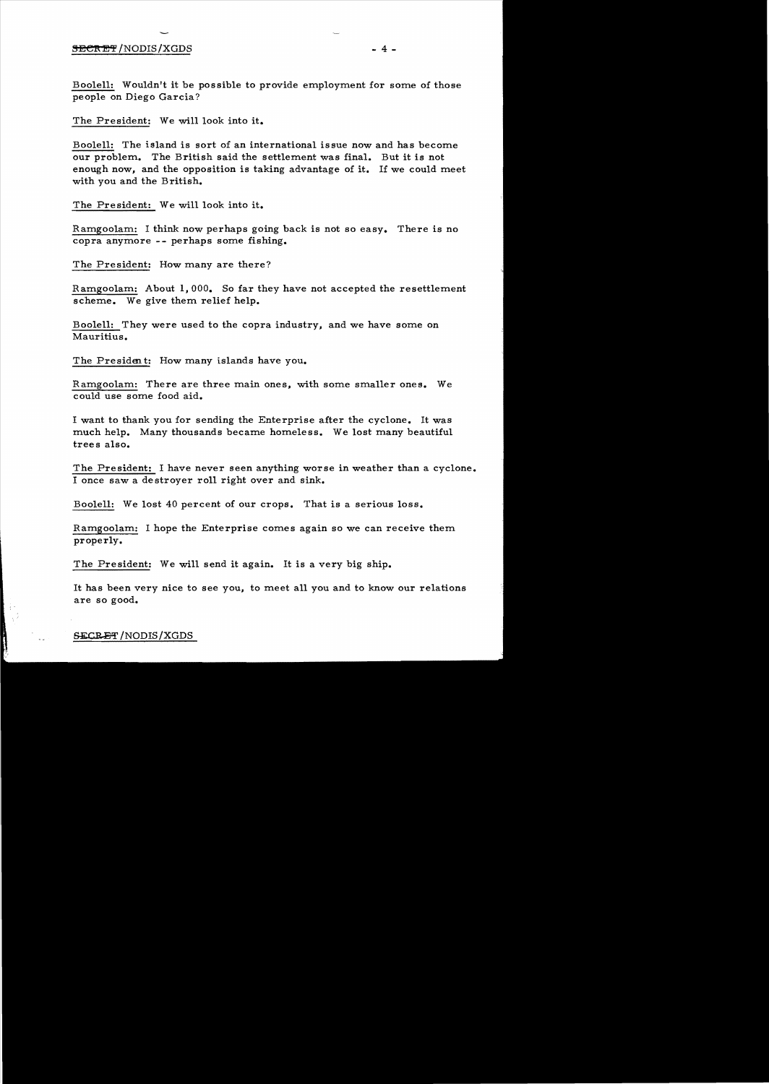## $\frac{1}{2}$   $\frac{1}{2}$   $\frac{1}{2}$   $\frac{1}{2}$   $\frac{1}{2}$   $\frac{1}{2}$   $\frac{1}{2}$   $\frac{1}{2}$   $\frac{1}{2}$   $\frac{1}{2}$   $\frac{1}{2}$   $\frac{1}{2}$   $\frac{1}{2}$   $\frac{1}{2}$   $\frac{1}{2}$   $\frac{1}{2}$   $\frac{1}{2}$   $\frac{1}{2}$   $\frac{1}{2}$   $\frac{1}{2}$   $\frac{1}{2}$   $\frac{1}{2}$

Boolell: Wouldn't it be possible to provide employment for some of those people on Diego Garcia?

The President: We will look into it.

Boolell: The island is sort of an international issue now and has become our problem. The British said the settlement was final. But it is not enough now, and the opposition is taking advantage of it. If we could meet with you and the British.

The President: We will look into it.

Ramgoolam: I think now perhaps going back is not so easy. There is no copra anymore - - perhaps some fishing.

The President: How many are there?

Ramgoolam: About 1,000. So far they have not accepted the resettlement scheme. We give them relief help.

Boolell: They were used to the copra industry, and we have some on Mauritius.

The Presidm t: How many islands have you.

Ramgoolam: There are three main ones, with some smaller ones. We could use some food aid.

I want to thank you for sending the Enterprise after the cyclone. It was much help. Many thousands became homeless. We lost many beautiful trees also.

The President: I have never seen anything worse in weather than a cyclone. I once saw a destroyer roll right over and sink.

Boolell: We lost 40 percent of our crops. That is a serious loss.

Ramgoolam: I hope the Enterprise comes again so we can receive them properly.

The President: We will send it again. It is a very big ship.

It has been very nice to see you, to meet all you and to know our relations are so good.

SECRET/NODIS/XGDS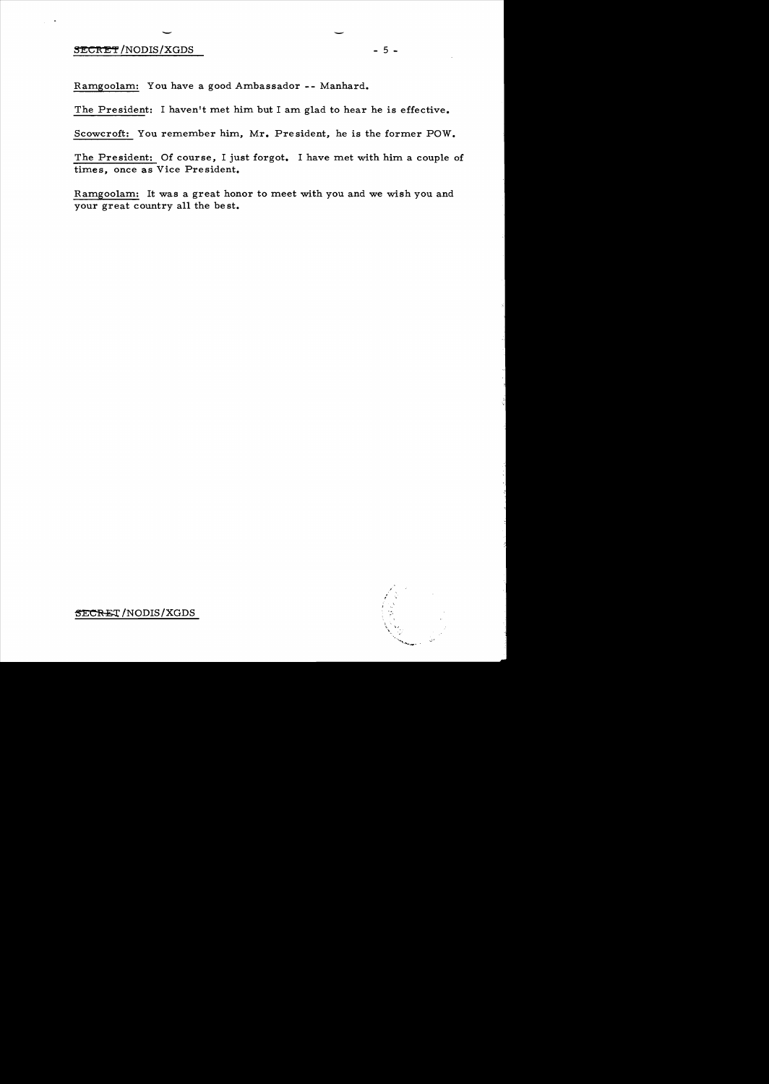## $\frac{\text{SECRET}}{\text{NODIS/XGDS}}$  - 5 -

Ramgoolam: You have a good Ambassador -- Manhard.

The President: I haven't met him but I am glad to hear he is effective.

Scowcroft: You remember him, Mr. President, he is the former POW.

The President: Of course, I just forgot. I have met with him a couple of times, once as Vice President.

Ramgoolam: It was a great honor to meet with you and we wish you and your great country all the be st.



**SECRET**/NODIS/XGDS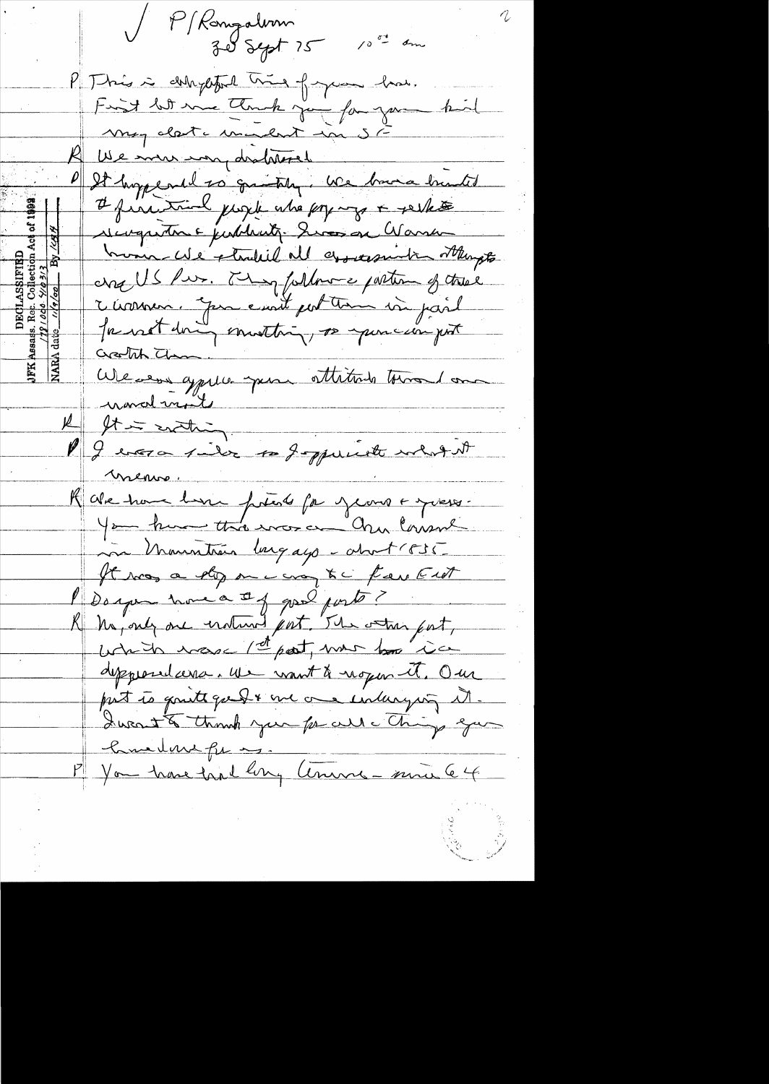/ P/Kongalvin  $10^{54}$  am  $30$  Sept  $75$ P This is delayested this of your how. First let me think jou for your kind May alate madent in SC K We mer my district Of It hoppened to granthy. We broke build If prince juge who pop my + selks recognations justifiaitz Successor Warren home We stended all conservation otheraps Level 15 Pur. Et y fullmone partir of tree riconner. Jour emait pertienn vir parl Ja vret don prosthing, os que con port creation dans appelle spera ottetoide toward on Grant novedmoit eft = rating mens. Rale trou lui pries francs en mess. You know the war and Consul a Mauritime long ago - about 1835 It was a stop on many to there Elect Despendance & parl porte? K ha, only one evaluant port, The water port, which was 1st part, who has in deppendance we want & nopen it. Our put to quite que I & me one interruping it. Quent thank you for all things go P Vou have fu me Comme - mui le 4.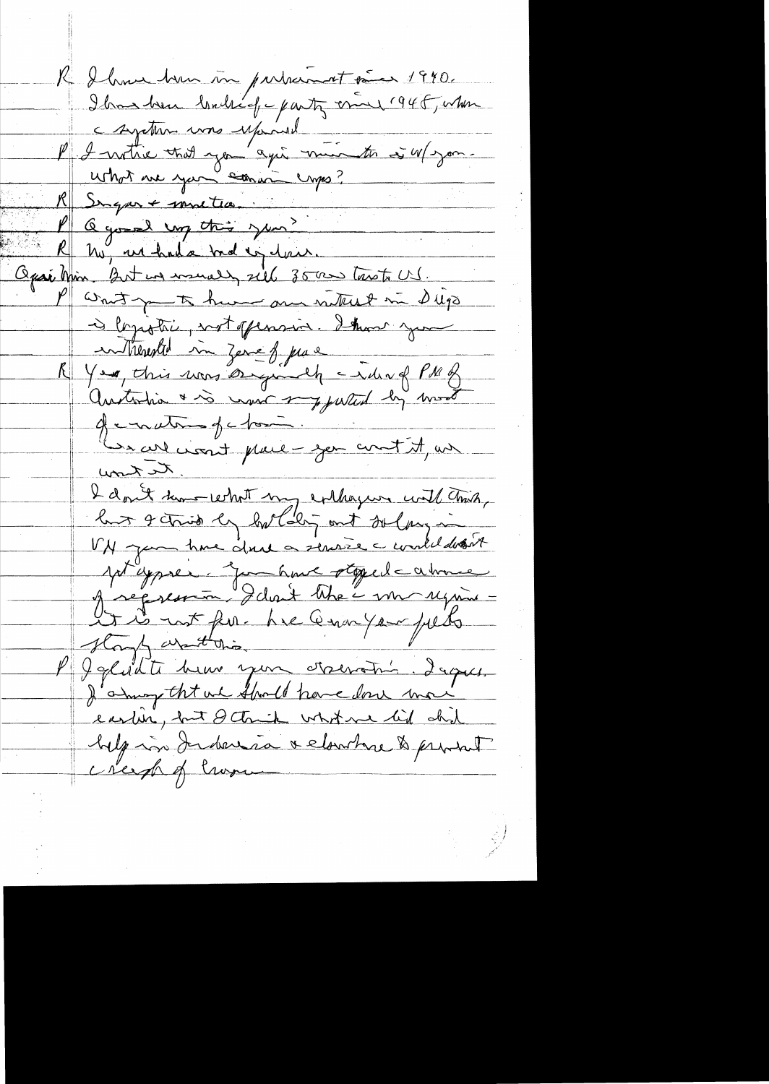K I hour tour un particular 1940. I have here bruke of a party erail 1945, when e system une uponiel urhor me you commer unes?  $S_{\lambda_1}$ que + muetro Q good up this year ? My un hads tod in dan. Opsi Min. But us monally sell 35 as towats US. Writing to hum our notable in Dups I logistic , not of consid. I think you intrentil in Zene f prac A Year, this was organized - idea of PM of autoria & so was rappared by mod Jematin Je ton :<br>Cancel won't place - jou cont it, un tetons I don't know what my enthaging with this, hut I chaid by hotaling out solary in VN jour time dans a service à concludation pt appee ? Jame stoped about Le la mest far. Le Cenan Year pets Hay writtening Jegludte hum you cremation. Deques. I'among that we flowed have done mo eastin, but I think whit we lid and belgion derdension a clourture & product creep of Crossin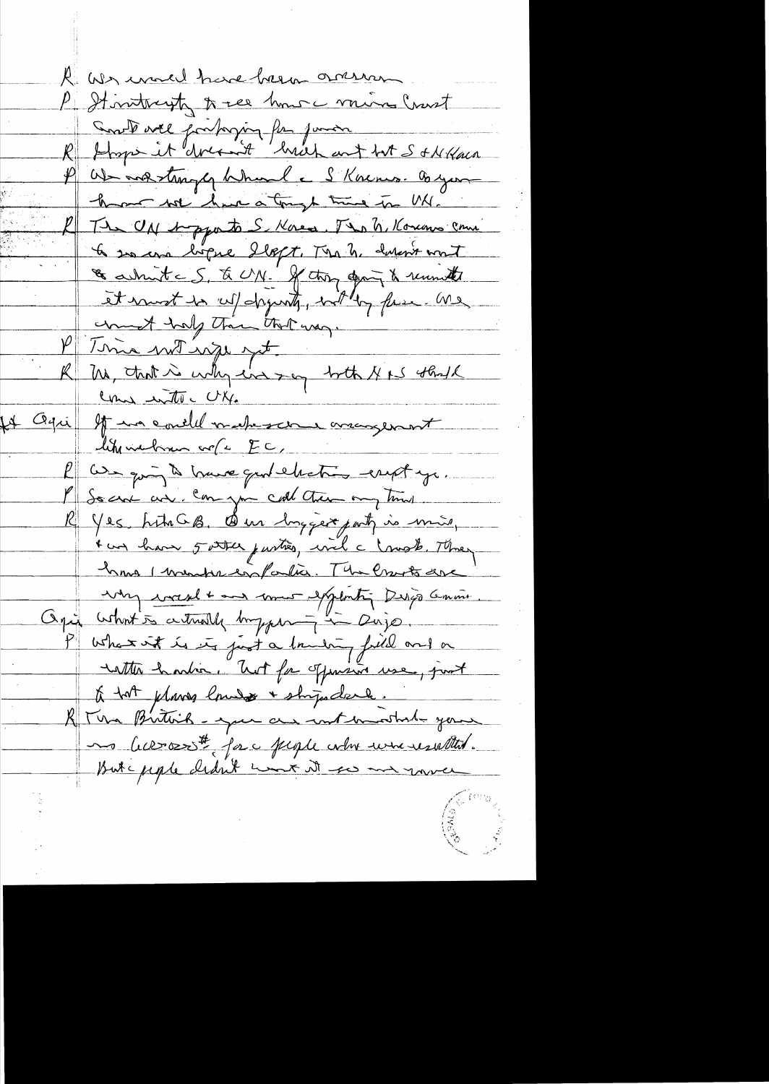R We would have been arriver P Stintwist, to see how mine Court Contract portaging for junior We mosthingly When I Knews. Byon home we have a tough true in M. The UN topporto S. Knew. The h, Konons com to so are before Sloft, Mr h, devent want & askingt c 5, to UM. of they april & runnette et most is uf drywith, with y few me comet half than that way. P Time with you R M, that is why in may both N is that Come into CK. It again of une and watercome areas want like indican cole EC We going to have gut election enot you So and an can you call them any times. Yes, hita GB. Deur dongest party is miss, t un have 5 stre justico, incl c mot They home I wanter enfortion. The Crank are My weed + and comes expenting Desigo Comme Opin what is a trially bryquing in Dujo. P what is in just a landing field and on Latter harbor. Aut for offering use, just ti tot plans low + strips dark. K Tha Birthick - your are not most while your no Curossit for a people who were resulted. But apple didn't wont it so me your en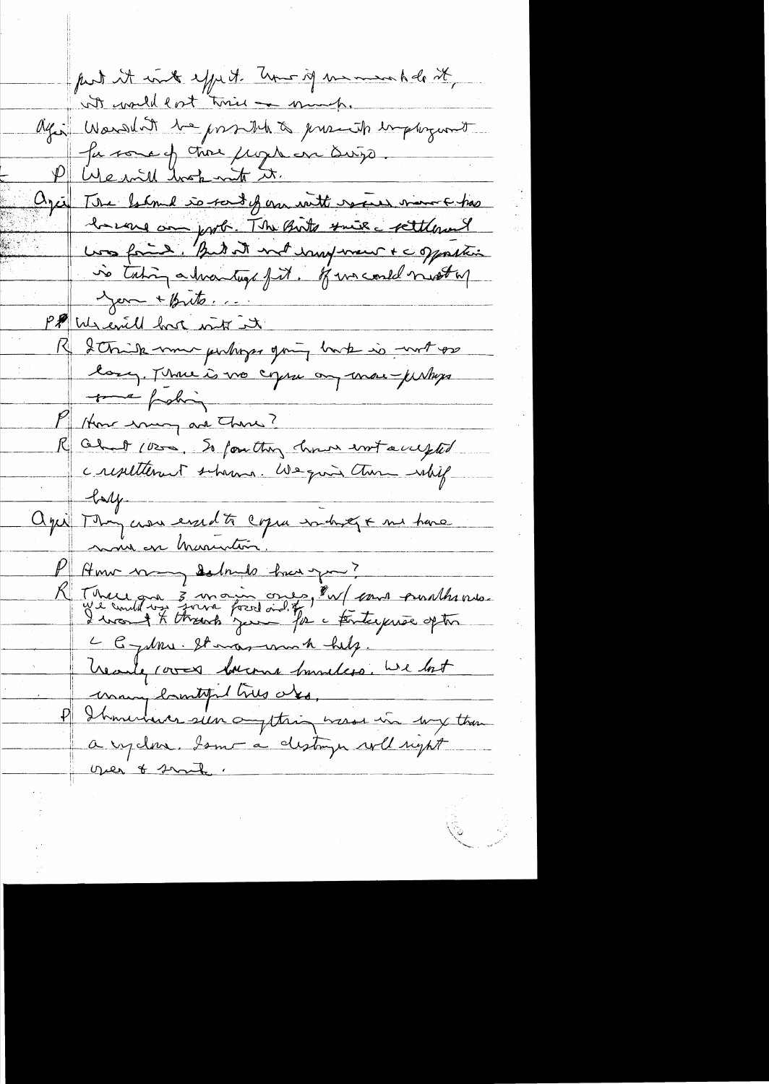put it into effect . Unit is meaned to it, it would east "trie - much. agi Warshit be prosted to present employment Ju some of those juge en Diego.  $\psi_{\parallel}$ We will track mit it. Agai The falme is rand on with eserces more has because and prob. The Birts suite e settlement was faint . But it not wind went + c opposition no tating a transmitting fit. If we could must by Year + Brito... PP We evil but with it I think more purlages going book is wort or <u>K</u> larg. There is we copper on more-persons to pohi Home eming are Thing? R about 10200. So fourthing chown writ accupted cresilterant schanna. We qui turn inhif  $\parallel$  -bady april Moyeran everette copia industre me trane mais en mariation. P Home many dalmals have pour? R There are 3 main ones, en fans purthane. C Bydru. Stanar un h help. hearing covers lowerns burneless. We lost many lamity his ores, Ibanchever s'un amptering messe une song than a rydne. Jom a destryn well supt yer & smite.